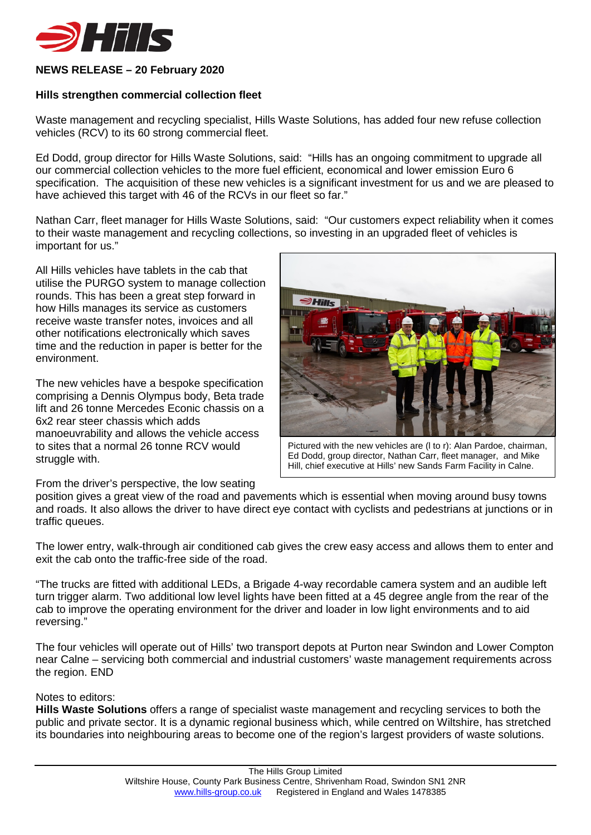

## **NEWS RELEASE – 20 February 2020**

## **Hills strengthen commercial collection fleet**

Waste management and recycling specialist, Hills Waste Solutions, has added four new refuse collection vehicles (RCV) to its 60 strong commercial fleet.

Ed Dodd, group director for Hills Waste Solutions, said: "Hills has an ongoing commitment to upgrade all our commercial collection vehicles to the more fuel efficient, economical and lower emission Euro 6 specification. The acquisition of these new vehicles is a significant investment for us and we are pleased to have achieved this target with 46 of the RCVs in our fleet so far."

Nathan Carr, fleet manager for Hills Waste Solutions, said: "Our customers expect reliability when it comes to their waste management and recycling collections, so investing in an upgraded fleet of vehicles is important for us."

All Hills vehicles have tablets in the cab that utilise the PURGO system to manage collection rounds. This has been a great step forward in how Hills manages its service as customers receive waste transfer notes, invoices and all other notifications electronically which saves time and the reduction in paper is better for the environment.

The new vehicles have a bespoke specification comprising a Dennis Olympus body, Beta trade lift and 26 tonne Mercedes Econic chassis on a 6x2 rear steer chassis which adds manoeuvrability and allows the vehicle access to sites that a normal 26 tonne RCV would struggle with.



Pictured with the new vehicles are (l to r): Alan Pardoe, chairman, Ed Dodd, group director, Nathan Carr, fleet manager, and Mike Hill, chief executive at Hills' new Sands Farm Facility in Calne.

From the driver's perspective, the low seating

position gives a great view of the road and pavements which is essential when moving around busy towns and roads. It also allows the driver to have direct eye contact with cyclists and pedestrians at junctions or in traffic queues.

The lower entry, walk-through air conditioned cab gives the crew easy access and allows them to enter and exit the cab onto the traffic-free side of the road.

"The trucks are fitted with additional LEDs, a Brigade 4-way recordable camera system and an audible left turn trigger alarm. Two additional low level lights have been fitted at a 45 degree angle from the rear of the cab to improve the operating environment for the driver and loader in low light environments and to aid reversing."

The four vehicles will operate out of Hills' two transport depots at Purton near Swindon and Lower Compton near Calne – servicing both commercial and industrial customers' waste management requirements across the region. END

## Notes to editors:

**Hills Waste Solutions** offers a range of specialist waste management and recycling services to both the public and private sector. It is a dynamic regional business which, while centred on Wiltshire, has stretched its boundaries into neighbouring areas to become one of the region's largest providers of waste solutions.